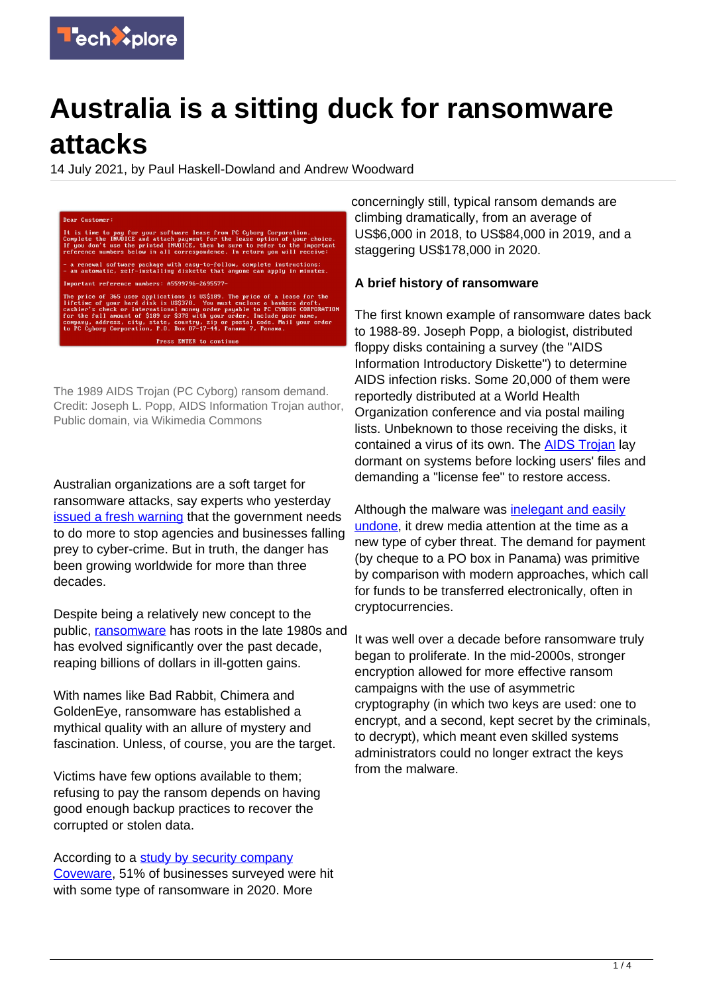

# **Australia is a sitting duck for ransomware attacks**

14 July 2021, by Paul Haskell-Dowland and Andrew Woodward

)<br>ear Customer: is time to pay for your software lease from PC Cyborg Corporation.<br>mplete the IMVOICE and attach payment for the lease option of your ch<br>you don't use the printed IMVOICE, then be sure to refer to the impo<br>ference numbers a renewal software package with easy-to-follow, complete instructions;<br>an automatic, self-installing diskette that anyone can apply in minutes tant reference numbers: A5599796-2695577-The price of 365 user applications is US\$189. The price of a lease for the lifetime of your hard disk is US\$378. You must enclose a bankers draft, cannier's check or international money order payable to PC CYBDRG CORPORATI mpany, address, city, state, country, zip or postal code<br>PC Cyborg Corporation, P.O. Box 87-17-44, Panama 7, Pana Press ENTER to continue

The 1989 AIDS Trojan (PC Cyborg) ransom demand. Credit: Joseph L. Popp, AIDS Information Trojan author, Public domain, via Wikimedia Commons

Australian organizations are a soft target for ransomware attacks, say experts who yesterday [issued a fresh warning](https://www.abc.net.au/news/2021-07-13/ransomeware-report-cyber-security-hacking-jbs-nine/100287278) that the government needs to do more to stop agencies and businesses falling prey to cyber-crime. But in truth, the danger has been growing worldwide for more than three decades.

Despite being a relatively new concept to the public, [ransomware](https://techxplore.com/tags/ransomware/) has roots in the late 1980s and has evolved significantly over the past decade, reaping billions of dollars in ill-gotten gains.

With names like Bad Rabbit, Chimera and GoldenEye, ransomware has established a mythical quality with an allure of mystery and fascination. Unless, of course, you are the target.

Victims have few options available to them; refusing to pay the ransom depends on having good enough backup practices to recover the corrupted or stolen data.

According to a [study by security company](https://www.coveware.com/blog/2020/1/22/ransomware-costs-double-in-q4-as-ryuk-sodinokibi-proliferate) [Coveware,](https://www.coveware.com/blog/2020/1/22/ransomware-costs-double-in-q4-as-ryuk-sodinokibi-proliferate) 51% of businesses surveyed were hit with some type of ransomware in 2020. More

concerningly still, typical ransom demands are climbing dramatically, from an average of US\$6,000 in 2018, to US\$84,000 in 2019, and a staggering US\$178,000 in 2020.

# **A brief history of ransomware**

The first known example of ransomware dates back to 1988-89. Joseph Popp, a biologist, distributed floppy disks containing a survey (the "AIDS Information Introductory Diskette") to determine AIDS infection risks. Some 20,000 of them were reportedly distributed at a World Health Organization conference and via postal mailing lists. Unbeknown to those receiving the disks, it contained a virus of its own. The **AIDS Trojan** lay dormant on systems before locking users' files and demanding a "license fee" to restore access.

Although the malware was [inelegant and easily](https://www.virusbulletin.com/uploads/pdf/magazine/1990/199001.pdf) [undone](https://www.virusbulletin.com/uploads/pdf/magazine/1990/199001.pdf), it drew media attention at the time as a new type of cyber threat. The demand for payment (by cheque to a PO box in Panama) was primitive by comparison with modern approaches, which call for funds to be transferred electronically, often in cryptocurrencies.

It was well over a decade before ransomware truly began to proliferate. In the mid-2000s, stronger encryption allowed for more effective ransom campaigns with the use of asymmetric cryptography (in which two keys are used: one to encrypt, and a second, kept secret by the criminals, to decrypt), which meant even skilled systems administrators could no longer extract the keys from the malware.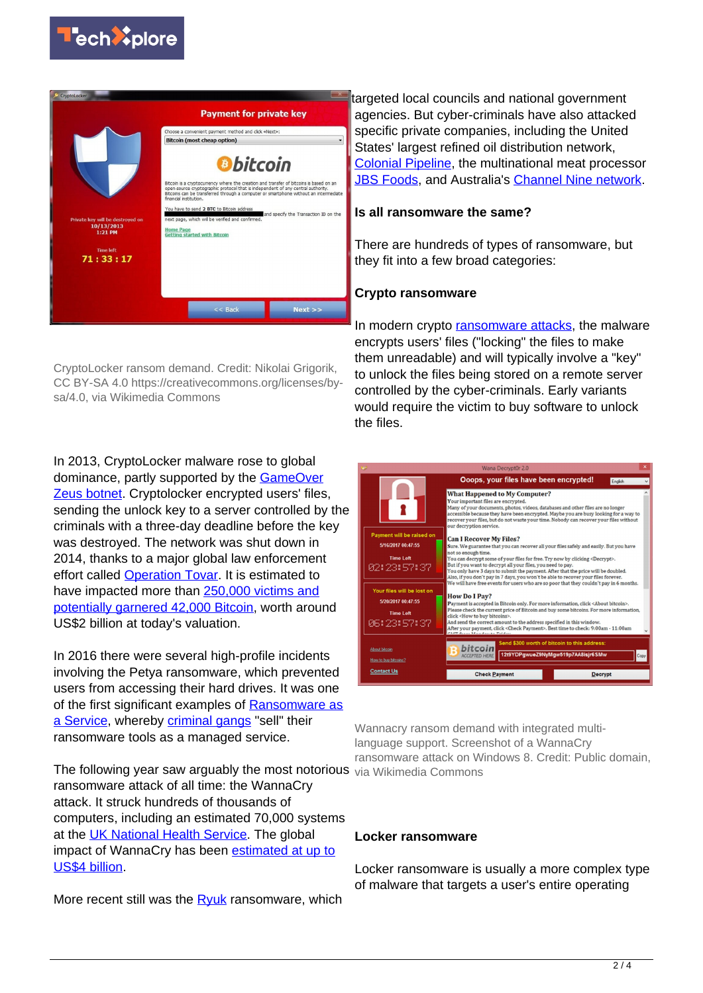



CryptoLocker ransom demand. Credit: Nikolai Grigorik, CC BY-SA 4.0 https://creativecommons.org/licenses/bysa/4.0, via Wikimedia Commons

In 2013, CryptoLocker malware rose to global dominance, partly supported by the **GameOver** [Zeus botnet](https://www.knowbe4.com/gameover-zeus). Cryptolocker encrypted users' files, sending the unlock key to a server controlled by the criminals with a three-day deadline before the key was destroyed. The network was shut down in 2014, thanks to a major global law enforcement effort called [Operation Tovar.](https://www.fireeye.com/blog/threat-research/2014/07/operation-tovar-the-latest-attempt-to-eliminate-key-botnets.html) It is estimated to have impacted more than [250,000 victims and](https://www.zdnet.com/article/cryptolockers-crimewave-a-trail-of-millions-in-laundered-bitcoin/) [potentially garnered 42,000 Bitcoin,](https://www.zdnet.com/article/cryptolockers-crimewave-a-trail-of-millions-in-laundered-bitcoin/) worth around US\$2 billion at today's valuation.

In 2016 there were several high-profile incidents involving the Petya ransomware, which prevented users from accessing their hard drives. It was one of the first significant examples of [Ransomware as](https://www.upguard.com/blog/what-is-ransomware-as-a-service) [a Service](https://www.upguard.com/blog/what-is-ransomware-as-a-service), whereby [criminal gangs](https://techxplore.com/tags/criminal+gangs/) "sell" their ransomware tools as a managed service.

The following year saw arguably the most notorious via Wikimedia Commons ransomware attack of all time: the WannaCry attack. It struck hundreds of thousands of computers, including an estimated 70,000 systems at the [UK National Health Service](https://www.cbsnews.com/news/hospitals-across-britain-hit-by-ransomware-cyberattack/). The global impact of WannaCry has been [estimated at up to](https://www.kaspersky.com.au/resource-center/threats/ransomware-wannacry) [US\\$4 billion](https://www.kaspersky.com.au/resource-center/threats/ransomware-wannacry).

More recent still was the [Ryuk](https://www.crowdstrike.com/blog/big-game-hunting-with-ryuk-another-lucrative-targeted-ransomware/) ransomware, which

targeted local councils and national government agencies. But cyber-criminals have also attacked specific private companies, including the United States' largest refined oil distribution network, [Colonial Pipeline](https://www.abc.net.au/news/2021-05-20/colonial-pipeline-ceo-confirms-company-paid-ransom-darkside/100151094), the multinational meat processor [JBS Foods](https://www.bbc.com/news/world-us-canada-57318965), and Australia's [Channel Nine network](https://www.cybersecurity-insiders.com/australia-channel-9-tv-ransomware-cyber-attack/).

#### **Is all ransomware the same?**

There are hundreds of types of ransomware, but they fit into a few broad categories:

# **Crypto ransomware**

In modern crypto [ransomware attacks](https://techxplore.com/tags/ransomware+attacks/), the malware encrypts users' files ("locking" the files to make them unreadable) and will typically involve a "key" to unlock the files being stored on a remote server controlled by the cyber-criminals. Early variants would require the victim to buy software to unlock the files.

|                                       | Wana Decrypt0r 2.0                                                                                                                                                                                                                                                                                                                                                         |      |
|---------------------------------------|----------------------------------------------------------------------------------------------------------------------------------------------------------------------------------------------------------------------------------------------------------------------------------------------------------------------------------------------------------------------------|------|
|                                       | Ooops, your files have been encrypted!<br>English                                                                                                                                                                                                                                                                                                                          |      |
|                                       | <b>What Happened to My Computer?</b><br>Your important files are encrypted.<br>Many of your documents, photos, videos, databases and other files are no longer<br>accessible because they have been encrypted. Maybe you are busy looking for a way to<br>recover your files, but do not waste your time. Nobody can recover your files without<br>our decryption service. |      |
| Payment will be raised on             | <b>Can I Recover My Files?</b>                                                                                                                                                                                                                                                                                                                                             |      |
| 5/16/2017 00:47:55                    | Sure. We guarantee that you can recover all your files safely and easily. But you have                                                                                                                                                                                                                                                                                     |      |
| <b>Time Left</b>                      | not so enough time.<br>You can decrypt some of your files for free. Try now by clicking <decrypt>.</decrypt>                                                                                                                                                                                                                                                               |      |
| 02:23:57:37                           | But if you want to decrypt all your files, you need to pay.<br>You only have 3 days to submit the payment. After that the price will be doubled.<br>Also, if you don't pay in 7 days, you won't be able to recover your files forever.<br>We will have free events for users who are so poor that they couldn't pay in 6 months.                                           |      |
| Your files will be lost on            |                                                                                                                                                                                                                                                                                                                                                                            |      |
| 5/20/2017 00:47:55                    | <b>How Do I Pay?</b><br>Payment is accepted in Bitcoin only. For more information, click <about bitcoin="">.</about>                                                                                                                                                                                                                                                       |      |
| <b>Time Left</b>                      | Please check the current price of Bitcoin and buy some bitcoins. For more information,<br>click <how bitcoins="" buy="" to="">.</how>                                                                                                                                                                                                                                      |      |
| 06:23:57:37                           | And send the correct amount to the address specified in this window.<br>After your payment, click <check payment="">. Best time to check: 9:00am - 11:00am<br/>Cham Arrow Marchanter Poldon</check>                                                                                                                                                                        |      |
| About bitcoin<br>How to buy bitcoins? | Send \$300 worth of bitcoin to this address:<br>bitcoin<br>12t9YDPqwueZ9NyMqw519p7AA8isjr6SMw<br><b>ACCEPTED HERE</b>                                                                                                                                                                                                                                                      | Copy |
| <b>Contact Us</b>                     | <b>Check Payment</b><br><b>Decrypt</b>                                                                                                                                                                                                                                                                                                                                     |      |

Wannacry ransom demand with integrated multilanguage support. Screenshot of a WannaCry ransomware attack on Windows 8. Credit: Public domain,

#### **Locker ransomware**

Locker ransomware is usually a more complex type of malware that targets a user's entire operating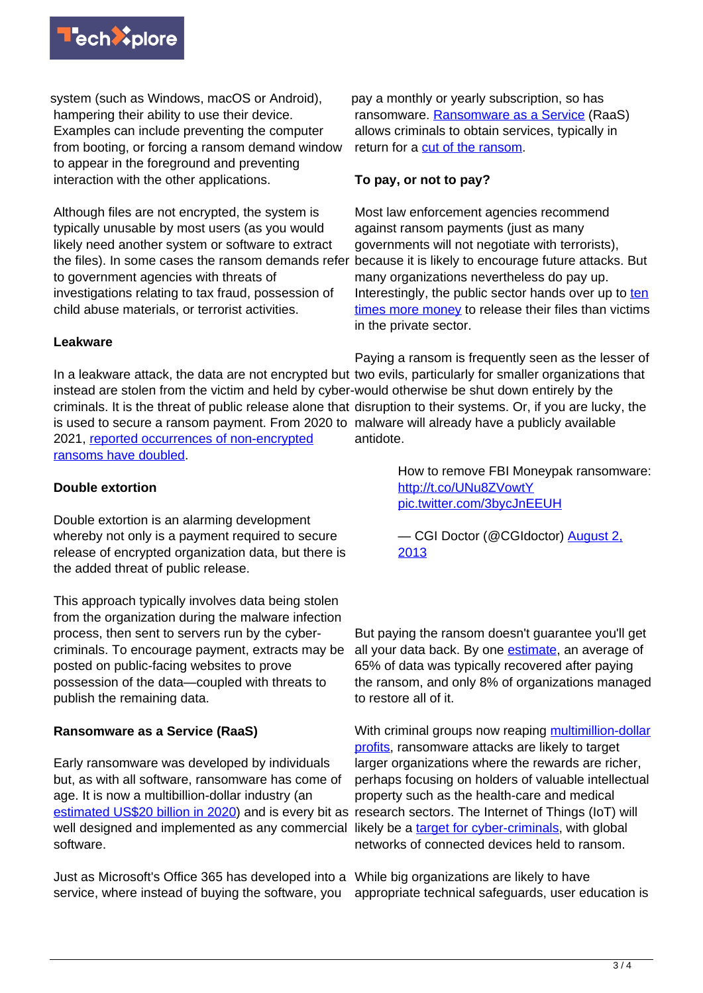

system (such as Windows, macOS or Android), hampering their ability to use their device. Examples can include preventing the computer from booting, or forcing a ransom demand window to appear in the foreground and preventing interaction with the other applications.

Although files are not encrypted, the system is typically unusable by most users (as you would likely need another system or software to extract the files). In some cases the ransom demands refer to government agencies with threats of investigations relating to tax fraud, possession of child abuse materials, or terrorist activities.

pay a monthly or yearly subscription, so has ransomware. [Ransomware as a Service](https://www.upguard.com/blog/what-is-ransomware-as-a-service) (RaaS) allows criminals to obtain services, typically in return for a [cut of the ransom](http://www.zdnet.com/article/ransomware-as-a-service-for-allows-wannabe-hackers-to-cash-in-on-cyber-extortion/).

# **To pay, or not to pay?**

Most law enforcement agencies recommend against ransom payments (just as many governments will not negotiate with terrorists), because it is likely to encourage future attacks. But many organizations nevertheless do pay up. Interestingly, the public sector hands over up to [ten](https://statescoop.com/ransomware-local-government-pays-10-times-more/) [times more money](https://statescoop.com/ransomware-local-government-pays-10-times-more/) to release their files than victims in the private sector.

# **Leakware**

In a leakware attack, the data are not encrypted but two evils, particularly for smaller organizations that instead are stolen from the victim and held by cyber-would otherwise be shut down entirely by the criminals. It is the threat of public release alone that disruption to their systems. Or, if you are lucky, the is used to secure a ransom payment. From 2020 to malware will already have a publicly available 2021, [reported occurrences of non-encrypted](https://secure2.sophos.com/en-us/medialibrary/pdfs/whitepaper/sophos-state-of-ransomware-2021-wp.pdf) [ransoms have doubled.](https://secure2.sophos.com/en-us/medialibrary/pdfs/whitepaper/sophos-state-of-ransomware-2021-wp.pdf) Paying a ransom is frequently seen as the lesser of antidote.

# **Double extortion**

Double extortion is an alarming development whereby not only is a payment required to secure release of encrypted organization data, but there is the added threat of public release.

This approach typically involves data being stolen from the organization during the malware infection process, then sent to servers run by the cybercriminals. To encourage payment, extracts may be posted on public-facing websites to prove possession of the data—coupled with threats to publish the remaining data.

# **Ransomware as a Service (RaaS)**

Early ransomware was developed by individuals but, as with all software, ransomware has come of age. It is now a multibillion-dollar industry (an [estimated US\\$20 billion in 2020](https://pentestmag.com/ransomware-statistics-trends-and-facts-for-2020-and-beyond/)) and is every bit as research sectors. The Internet of Things (IoT) will well designed and implemented as any commercial likely be a [target for cyber-criminals](https://techcrunch.com/2016/10/02/what-makes-iot-ransomware-a-different-and-more-dangerous-threat/), with global software.

Just as Microsoft's Office 365 has developed into a While big organizations are likely to have service, where instead of buying the software, you

How to remove FBI Moneypak ransomware: <http://t.co/UNu8ZVowtY> [pic.twitter.com/3bycJnEEUH](http://t.co/3bycJnEEUH)

— CGI Doctor (@CGIdoctor) [August 2,](https://twitter.com/CGIdoctor/status/363279911793856514?ref_src=twsrc%5Etfw) [2013](https://twitter.com/CGIdoctor/status/363279911793856514?ref_src=twsrc%5Etfw)

But paying the ransom doesn't guarantee you'll get all your data back. By one **estimate**, an average of 65% of data was typically recovered after paying the ransom, and only 8% of organizations managed to restore all of it.

With criminal groups now reaping [multimillion-dollar](https://www.zdnet.com/article/ryuk-gang-estimated-to-have-made-more-than-150-million-from-ransomware-attacks/) [profits](https://www.zdnet.com/article/ryuk-gang-estimated-to-have-made-more-than-150-million-from-ransomware-attacks/), ransomware attacks are likely to target larger organizations where the rewards are richer, perhaps focusing on holders of valuable intellectual property such as the health-care and medical networks of connected devices held to ransom.

appropriate technical safeguards, user education is